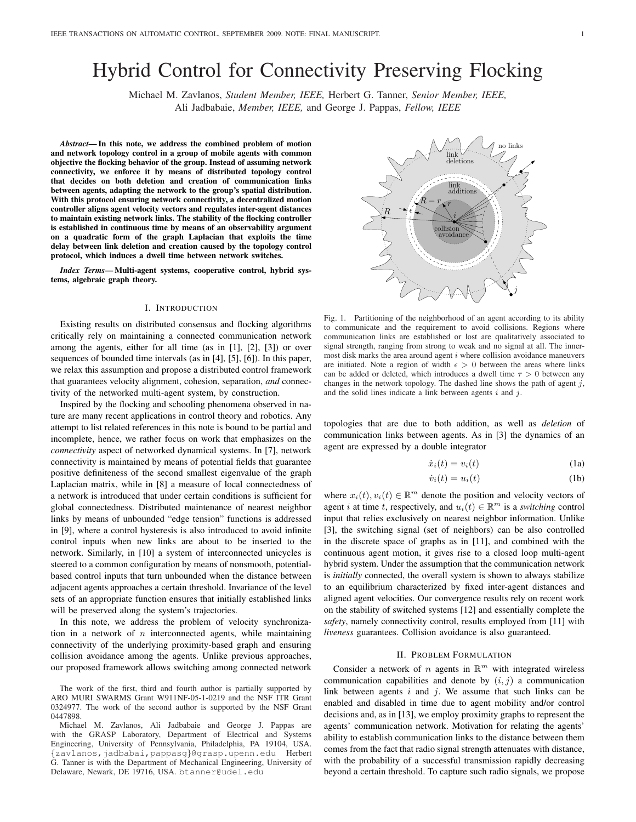# Hybrid Control for Connectivity Preserving Flocking

Michael M. Zavlanos, *Student Member, IEEE,* Herbert G. Tanner, *Senior Member, IEEE,* Ali Jadbabaie, *Member, IEEE,* and George J. Pappas, *Fellow, IEEE*

*Abstract*— In this note, we address the combined problem of motion and network topology control in a group of mobile agents with common objective the flocking behavior of the group. Instead of assuming network connectivity, we enforce it by means of distributed topology control that decides on both deletion and creation of communication links between agents, adapting the network to the group's spatial distribution. With this protocol ensuring network connectivity, a decentralized motion controller aligns agent velocity vectors and regulates inter-agent distances to maintain existing network links. The stability of the flocking controller is established in continuous time by means of an observability argument on a quadratic form of the graph Laplacian that exploits the time delay between link deletion and creation caused by the topology control protocol, which induces a dwell time between network switches.

*Index Terms*— Multi-agent systems, cooperative control, hybrid systems, algebraic graph theory.

#### I. INTRODUCTION

Existing results on distributed consensus and flocking algorithms critically rely on maintaining a connected communication network among the agents, either for all time (as in [1], [2], [3]) or over sequences of bounded time intervals (as in [4], [5], [6]). In this paper, we relax this assumption and propose a distributed control framework that guarantees velocity alignment, cohesion, separation, *and* connectivity of the networked multi-agent system, by construction.

Inspired by the flocking and schooling phenomena observed in nature are many recent applications in control theory and robotics. Any attempt to list related references in this note is bound to be partial and incomplete, hence, we rather focus on work that emphasizes on the *connectivity* aspect of networked dynamical systems. In [7], network connectivity is maintained by means of potential fields that guarantee positive definiteness of the second smallest eigenvalue of the graph Laplacian matrix, while in [8] a measure of local connectedness of a network is introduced that under certain conditions is sufficient for global connectedness. Distributed maintenance of nearest neighbor links by means of unbounded "edge tension" functions is addressed in [9], where a control hysteresis is also introduced to avoid infinite control inputs when new links are about to be inserted to the network. Similarly, in [10] a system of interconnected unicycles is steered to a common configuration by means of nonsmooth, potentialbased control inputs that turn unbounded when the distance between adjacent agents approaches a certain threshold. Invariance of the level sets of an appropriate function ensures that initially established links will be preserved along the system's trajectories.

In this note, we address the problem of velocity synchronization in a network of  $n$  interconnected agents, while maintaining connectivity of the underlying proximity-based graph and ensuring collision avoidance among the agents. Unlike previous approaches, our proposed framework allows switching among connected network

r  $R_{\perp}$  $R - r_{\rm g}$ links link deletions  $\overline{\text{addition}}$ link collision avoidance i j έļ

Fig. 1. Partitioning of the neighborhood of an agent according to its ability to communicate and the requirement to avoid collisions. Regions where communication links are established or lost are qualitatively associated to signal strength, ranging from strong to weak and no signal at all. The innermost disk marks the area around agent  $i$  where collision avoidance maneuvers are initiated. Note a region of width  $\epsilon > 0$  between the areas where links can be added or deleted, which introduces a dwell time  $\tau > 0$  between any changes in the network topology. The dashed line shows the path of agent  $j$ , and the solid lines indicate a link between agents  $i$  and  $j$ .

topologies that are due to both addition, as well as *deletion* of communication links between agents. As in [3] the dynamics of an agent are expressed by a double integrator

$$
\dot{x}_i(t) = v_i(t) \tag{1a}
$$

$$
\dot{v}_i(t) = u_i(t) \tag{1b}
$$

where  $x_i(t), v_i(t) \in \mathbb{R}^m$  denote the position and velocity vectors of agent *i* at time *t*, respectively, and  $u_i(t) \in \mathbb{R}^m$  is a *switching* control input that relies exclusively on nearest neighbor information. Unlike [3], the switching signal (set of neighbors) can be also controlled in the discrete space of graphs as in [11], and combined with the continuous agent motion, it gives rise to a closed loop multi-agent hybrid system. Under the assumption that the communication network is *initially* connected, the overall system is shown to always stabilize to an equilibrium characterized by fixed inter-agent distances and aligned agent velocities. Our convergence results rely on recent work on the stability of switched systems [12] and essentially complete the *safety*, namely connectivity control, results employed from [11] with *liveness* guarantees. Collision avoidance is also guaranteed.

#### II. PROBLEM FORMULATION

Consider a network of *n* agents in  $\mathbb{R}^m$  with integrated wireless communication capabilities and denote by  $(i, j)$  a communication link between agents  $i$  and  $j$ . We assume that such links can be enabled and disabled in time due to agent mobility and/or control decisions and, as in [13], we employ proximity graphs to represent the agents' communication network. Motivation for relating the agents' ability to establish communication links to the distance between them comes from the fact that radio signal strength attenuates with distance, with the probability of a successful transmission rapidly decreasing beyond a certain threshold. To capture such radio signals, we propose

The work of the first, third and fourth author is partially supported by ARO MURI SWARMS Grant W911NF-05-1-0219 and the NSF ITR Grant 0324977. The work of the second author is supported by the NSF Grant 0447898.

Michael M. Zavlanos, Ali Jadbabaie and George J. Pappas are with the GRASP Laboratory, Department of Electrical and Systems Engineering, University of Pennsylvania, Philadelphia, PA 19104, USA. {zavlanos,jadbabai,pappasg}@grasp.upenn.edu Herbert G. Tanner is with the Department of Mechanical Engineering, University of Delaware, Newark, DE 19716, USA. btanner@udel.edu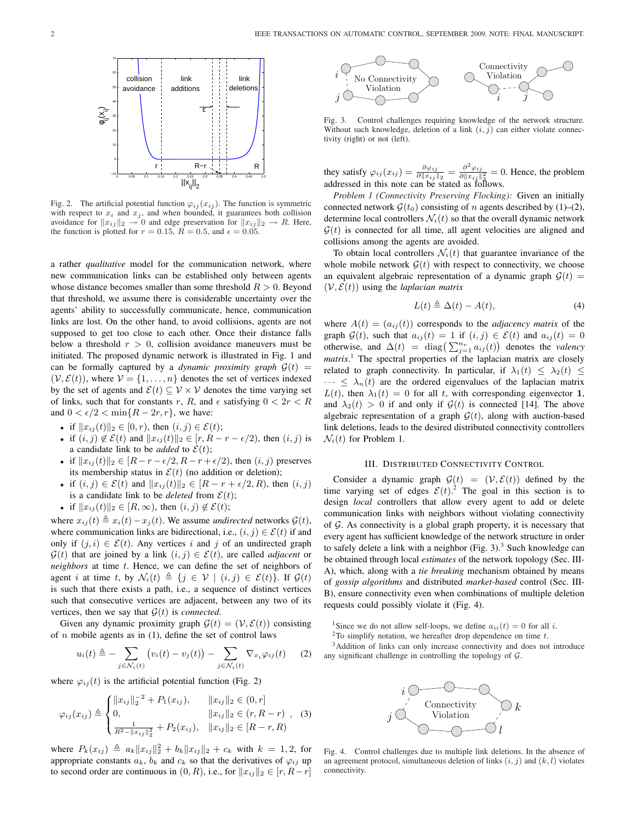

Fig. 2. The artificial potential function  $\varphi_{ij}(x_{ij})$ . The function is symmetric with respect to  $x_i$  and  $x_j$ , and when bounded, it guarantees both collision avoidance for  $||x_{ij}||_2 \rightarrow 0$  and edge preservation for  $||x_{ij}||_2 \rightarrow R$ . Here, the function is plotted for  $r = 0.15$ ,  $R = 0.5$ , and  $\epsilon = 0.05$ .

a rather *qualitative* model for the communication network, where new communication links can be established only between agents whose distance becomes smaller than some threshold  $R > 0$ . Beyond that threshold, we assume there is considerable uncertainty over the agents' ability to successfully communicate, hence, communication links are lost. On the other hand, to avoid collisions, agents are not supposed to get too close to each other. Once their distance falls below a threshold  $r > 0$ , collision avoidance maneuvers must be initiated. The proposed dynamic network is illustrated in Fig. 1 and can be formally captured by a *dynamic proximity graph*  $\mathcal{G}(t)$  =  $(V, \mathcal{E}(t))$ , where  $V = \{1, \ldots, n\}$  denotes the set of vertices indexed by the set of agents and  $\mathcal{E}(t) \subseteq \mathcal{V} \times \mathcal{V}$  denotes the time varying set of links, such that for constants r, R, and  $\epsilon$  satisfying  $0 < 2r < R$ and  $0 < \epsilon/2 < \min\{R - 2r, r\}$ , we have:

- if  $||x_{ij}(t)||_2 \in [0, r)$ , then  $(i, j) \in \mathcal{E}(t)$ ;
- if  $(i, j) \notin \mathcal{E}(t)$  and  $||x_{ij}(t)||_2 \in [r, R r \epsilon/2)$ , then  $(i, j)$  is a candidate link to be *added* to  $\mathcal{E}(t)$ ;
- if  $||x_{ij}(t)||_2 \in [R r \epsilon/2, R r + \epsilon/2)$ , then  $(i, j)$  preserves its membership status in  $\mathcal{E}(t)$  (no addition or deletion);
- if  $(i, j) \in \mathcal{E}(t)$  and  $||x_{ij}(t)||_2 \in [R r + \epsilon/2, R)$ , then  $(i, j)$ is a candidate link to be *deleted* from  $\mathcal{E}(t)$ ;
- if  $||x_{ij}(t)||_2 \in [R, \infty)$ , then  $(i, j) \notin \mathcal{E}(t)$ ;

where  $x_{ij}(t) \triangleq x_i(t) - x_j(t)$ . We assume *undirected* networks  $\mathcal{G}(t)$ , where communication links are bidirectional, i.e.,  $(i, j) \in \mathcal{E}(t)$  if and only if  $(j, i) \in \mathcal{E}(t)$ . Any vertices i and j of an undirected graph  $\mathcal{G}(t)$  that are joined by a link  $(i, j) \in \mathcal{E}(t)$ , are called *adjacent* or *neighbors* at time t. Hence, we can define the set of neighbors of agent i at time t, by  $\mathcal{N}_i(t) \triangleq \{j \in \mathcal{V} \mid (i, j) \in \mathcal{E}(t)\}\$ . If  $\mathcal{G}(t)$ is such that there exists a path, i.e., a sequence of distinct vertices such that consecutive vertices are adjacent, between any two of its vertices, then we say that  $\mathcal{G}(t)$  is *connected*.

Given any dynamic proximity graph  $\mathcal{G}(t) = (\mathcal{V}, \mathcal{E}(t))$  consisting of  $n$  mobile agents as in (1), define the set of control laws

$$
u_i(t) \triangleq -\sum_{j \in \mathcal{N}_i(t)} \left( v_i(t) - v_j(t) \right) - \sum_{j \in \mathcal{N}_i(t)} \nabla_{x_i} \varphi_{ij}(t) \tag{2}
$$

where  $\varphi_{ij}(t)$  is the artificial potential function (Fig. 2)

$$
\varphi_{ij}(x_{ij}) \triangleq \begin{cases} ||x_{ij}||_2^{-2} + P_1(x_{ij}), & ||x_{ij}||_2 \in (0, r] \\ 0, & ||x_{ij}||_2 \in (r, R - r) \\ \frac{1}{R^2 - ||x_{ij}||_2^2} + P_2(x_{ij}), & ||x_{ij}||_2 \in [R - r, R) \end{cases}
$$
(3)

where  $P_k(x_{ij}) \triangleq a_k ||x_{ij}||_2^2 + b_k ||x_{ij}||_2 + c_k$  with  $k = 1, 2$ , for appropriate constants  $a_k$ ,  $b_k$  and  $c_k$  so that the derivatives of  $\varphi_{ij}$  up to second order are continuous in  $(0, R)$ , i.e., for  $||x_{ij}||_2 \in [r, R-r]$ 



Fig. 3. Control challenges requiring knowledge of the network structure. Without such knowledge, deletion of a link  $(i, j)$  can either violate connectivity (right) or not (left).

they satisfy  $\varphi_{ij}(x_{ij}) = \frac{\partial \varphi_{ij}}{\partial ||x_{ij}||_2} = \frac{\partial^2 \varphi_{ij}}{\partial ||x_{ij}||_2}$  $\frac{\partial \varphi_{ij}}{\partial ||x_{ij}||_2^2} = 0$ . Hence, the problem addressed in this note can be stated as follows.

*Problem 1 (Connectivity Preserving Flocking):* Given an initially connected network  $\mathcal{G}(t_0)$  consisting of n agents described by (1)–(2), determine local controllers  $\mathcal{N}_i(t)$  so that the overall dynamic network  $G(t)$  is connected for all time, all agent velocities are aligned and collisions among the agents are avoided.

To obtain local controllers  $\mathcal{N}_i(t)$  that guarantee invariance of the whole mobile network  $\mathcal{G}(t)$  with respect to connectivity, we choose an equivalent algebraic representation of a dynamic graph  $\mathcal{G}(t)$  =  $(V, \mathcal{E}(t))$  using the *laplacian matrix* 

$$
L(t) \triangleq \Delta(t) - A(t), \tag{4}
$$

where  $A(t) = (a_{ij}(t))$  corresponds to the *adjacency matrix* of the graph  $\mathcal{G}(t)$ , such that  $a_{ij}(t) = 1$  if  $(i, j) \in \mathcal{E}(t)$  and  $a_{ij}(t) = 0$ graph  $\mathcal{G}(t)$ , such that  $a_{ij}(t) = 1$  if  $(i, j) \in \mathcal{E}(t)$  and  $a_{ij}(t) = 0$ <br>otherwise, and  $\Delta(t) = \text{diag}\left(\sum_{j=1}^{n_r} a_{ij}(t)\right)$  denotes the *valency matrix*. <sup>1</sup> The spectral properties of the laplacian matrix are closely related to graph connectivity. In particular, if  $\lambda_1(t) \leq \lambda_2(t) \leq$  $\cdots \leq \lambda_n(t)$  are the ordered eigenvalues of the laplacian matrix  $L(t)$ , then  $\lambda_1(t) = 0$  for all t, with corresponding eigenvector 1, and  $\lambda_2(t) > 0$  if and only if  $\mathcal{G}(t)$  is connected [14]. The above algebraic representation of a graph  $\mathcal{G}(t)$ , along with auction-based link deletions, leads to the desired distributed connectivity controllers  $\mathcal{N}_i(t)$  for Problem 1.

# III. DISTRIBUTED CONNECTIVITY CONTROL

Consider a dynamic graph  $\mathcal{G}(t) = (\mathcal{V}, \mathcal{E}(t))$  defined by the time varying set of edges  $\mathcal{E}(t)$ .<sup>2</sup> The goal in this section is to design *local* controllers that allow every agent to add or delete communication links with neighbors without violating connectivity of  $G$ . As connectivity is a global graph property, it is necessary that every agent has sufficient knowledge of the network structure in order to safely delete a link with a neighbor (Fig. 3).<sup>3</sup> Such knowledge can be obtained through local *estimates* of the network topology (Sec. III-A), which, along with a *tie breaking* mechanism obtained by means of *gossip algorithms* and distributed *market-based* control (Sec. III-B), ensure connectivity even when combinations of multiple deletion requests could possibly violate it (Fig. 4).

<sup>1</sup>Since we do not allow self-loops, we define  $a_{ii}(t) = 0$  for all *i*.

 $2$ To simplify notation, we hereafter drop dependence on time  $t$ .

<sup>3</sup>Addition of links can only increase connectivity and does not introduce any significant challenge in controlling the topology of G.



Fig. 4. Control challenges due to multiple link deletions. In the absence of an agreement protocol, simultaneous deletion of links  $(i, j)$  and  $(k, l)$  violates connectivity.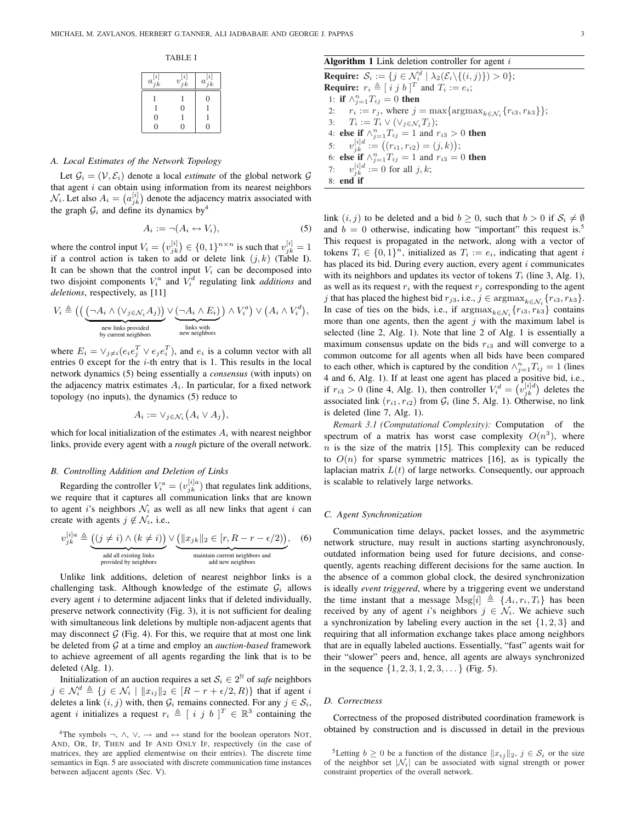TABLE I

| $a_{jk}^{[i]}$                       | $v_{jk}^{[i]}$ | $a_{jk}^{[i]}$ |
|--------------------------------------|----------------|----------------|
|                                      |                | 0              |
|                                      | $\dot{0}$      |                |
| $\begin{matrix} 0 \\ 0 \end{matrix}$ |                |                |
|                                      | 0              | O              |

# *A. Local Estimates of the Network Topology*

Let  $\mathcal{G}_i = (\mathcal{V}, \mathcal{E}_i)$  denote a local *estimate* of the global network  $\mathcal{G}$ that agent i can obtain using information from its nearest neighbors that agent *i* can obtain using information from its nearest neighbors  $\mathcal{N}_i$ . Let also  $A_i = (a_{jk}^{[i]})$  denote the adjacency matrix associated with the graph  $\mathcal{G}_i$  and define its dynamics by<sup>4</sup>

$$
A_i := \neg (A_i \leftrightarrow V_i), \tag{5}
$$

where the control input  $V_i = (v_{jk}^{[i]}) \in \{0,1\}^{n \times n}$  is such that  $v_{jk}^{[i]} = 1$ if a control action is taken to add or delete link  $(j, k)$  (Table I). It can be shown that the control input  $V_i$  can be decomposed into two disjoint components  $V_i^a$  and  $V_i^d$  regulating link *additions* and *deletions*, respectively, as [11]

$$
V_i \triangleq \left( \left( \underbrace{(\neg A_i \land (\vee_{j \in \mathcal{N}_i} A_j))}_{\substack{\text{new links provided} \\ \text{by current neighbors}}} \vee \underbrace{(\neg A_i \land E_i)}_{\substack{\text{links with} \\ \text{new heights}}} \right) \land V_i^a \right) \lor \left( A_i \land V_i^d \right),
$$

where  $E_i = \vee_{j \neq i} (e_i e_j^T \vee e_j e_i^T)$ , and  $e_i$  is a column vector with all entries 0 except for the i-th entry that is 1. This results in the local network dynamics (5) being essentially a *consensus* (with inputs) on the adjacency matrix estimates  $A_i$ . In particular, for a fixed network topology (no inputs), the dynamics (5) reduce to

$$
A_i := \vee_{j \in \mathcal{N}_i} (A_i \vee A_j),
$$

which for local initialization of the estimates  $A_i$  with nearest neighbor links, provide every agent with a *rough* picture of the overall network.

# *B. Controlling Addition and Deletion of Links*

v

Regarding the controller  $V_i^a = (v_{jk}^{[i]a})$  that regulates link additions, we require that it captures all communication links that are known to agent i's neighbors  $\mathcal{N}_i$  as well as all new links that agent i can create with agents  $j \notin \mathcal{N}_i$ , i.e.,

$$
y_{jk}^{[i]a} \triangleq \underbrace{((j \neq i) \land (k \neq i))}_{\text{add all existing links}} \lor \underbrace{(\|x_{jk}\|_2 \in [r, R - r - \epsilon/2))}_{\text{maintain current neighbors and odd new neighbors}}, \quad (6)
$$

Unlike link additions, deletion of nearest neighbor links is a challenging task. Although knowledge of the estimate  $G_i$  allows every agent  $i$  to determine adjacent links that if deleted individually, preserve network connectivity (Fig. 3), it is not sufficient for dealing with simultaneous link deletions by multiple non-adjacent agents that may disconnect  $G$  (Fig. 4). For this, we require that at most one link be deleted from G at a time and employ an *auction-based* framework to achieve agreement of all agents regarding the link that is to be deleted (Alg. 1).

Initialization of an auction requires a set  $S_i \in 2^{\mathbb{N}}$  of *safe* neighbors  $j \in \mathcal{N}_i^d \triangleq \{j \in \mathcal{N}_i \mid ||x_{ij}||_2 \in [R - r + \epsilon/2, R)\}\$  that if agent i deletes a link  $(i, j)$  with, then  $\mathcal{G}_i$  remains connected. For any  $j \in \mathcal{S}_i$ , agent *i* initializes a request  $r_i \triangleq [i j b]^{T} \in \mathbb{R}^{3}$  containing the

# Algorithm 1 Link deletion controller for agent  $i$

**Require:**  $S_i := \{ j \in \mathcal{N}_i^d \mid \lambda_2(\mathcal{E}_i \setminus \{(i,j)\}) > 0 \};$ **Require:**  $r_i \triangleq [i j b]^{T}$  and  $T_i := e_i$ ; 1: if  $\wedge_{j=1}^{n} T_{ij} = 0$  then 2:  $r_i := r_j$ , where  $j = \max\{\text{argmax}_{k \in \mathcal{N}_i} \{r_{i3}, r_{k3}\}\};$  $T_i := T_i \vee (\vee_{j \in \mathcal{N}_i} T_j);$ 4: **else if**  $\wedge_{j=1}^{n}T_{ij} = 1$  and  $r_{i3} > 0$  **then** 4. **else ii**  $\sqrt{5} = 1$  iij - 1 and  $\sqrt{7} = 3$ <br>5:  $v_{jk}^{[i]d} := ((r_{i1}, r_{i2}) = (j, k));$ 6: else if  $\wedge_{j=1}^{n}T_{ij} = 1$  and  $r_{i3} = 0$  then 7:  $v_{jk}^{[i]d} := 0$  for all  $j, k$ ; 8: end if

link  $(i, j)$  to be deleted and a bid  $b \ge 0$ , such that  $b > 0$  if  $S_i \ne \emptyset$ and  $b = 0$  otherwise, indicating how "important" this request is.<sup>5</sup> This request is propagated in the network, along with a vector of tokens  $T_i \in \{0,1\}^n$ , initialized as  $T_i := e_i$ , indicating that agent i has placed its bid. During every auction, every agent  $i$  communicates with its neighbors and updates its vector of tokens  $T_i$  (line 3, Alg. 1), as well as its request  $r_i$  with the request  $r_j$  corresponding to the agent j that has placed the highest bid  $r_{j3}$ , i.e.,  $j \in \text{argmax}_{k \in \mathcal{N}_i} \{r_{i3}, r_{k3}\}.$ In case of ties on the bids, i.e., if  $\arg \max_{k \in \mathcal{N}_i} \{r_{i3}, r_{k3}\}$  contains more than one agents, then the agent  $j$  with the maximum label is selected (line 2, Alg. 1). Note that line 2 of Alg. 1 is essentially a maximum consensus update on the bids  $r_{i3}$  and will converge to a common outcome for all agents when all bids have been compared to each other, which is captured by the condition  $\wedge_{j=1}^{n}T_{ij} = 1$  (lines 4 and 6, Alg. 1). If at least one agent has placed a positive bid, i.e., 4 and 6, Aig. 1). If at least one agent has placed a positive bid, i.e., if  $r_{i3} > 0$  (line 4, Alg. 1), then controller  $V_i^d = (v_{jk}^{i|d})$  deletes the associated link  $(r_{i1}, r_{i2})$  from  $\mathcal{G}_i$  (line 5, Alg. 1). Otherwise, no link is deleted (line 7, Alg. 1).

*Remark 3.1 (Computational Complexity):* Computation of the spectrum of a matrix has worst case complexity  $O(n^3)$ , where  $n$  is the size of the matrix [15]. This complexity can be reduced to  $O(n)$  for sparse symmetric matrices [16], as is typically the laplacian matrix  $L(t)$  of large networks. Consequently, our approach is scalable to relatively large networks.

# *C. Agent Synchronization*

Communication time delays, packet losses, and the asymmetric network structure, may result in auctions starting asynchronously, outdated information being used for future decisions, and consequently, agents reaching different decisions for the same auction. In the absence of a common global clock, the desired synchronization is ideally *event triggered*, where by a triggering event we understand the time instant that a message  $Msg[i] \triangleq \{A_i, r_i, T_i\}$  has been received by any of agent i's neighbors  $j \in \mathcal{N}_i$ . We achieve such a synchronization by labeling every auction in the set  $\{1, 2, 3\}$  and requiring that all information exchange takes place among neighbors that are in equally labeled auctions. Essentially, "fast" agents wait for their "slower" peers and, hence, all agents are always synchronized in the sequence  $\{1, 2, 3, 1, 2, 3, \dots\}$  (Fig. 5).

## *D. Correctness*

Correctness of the proposed distributed coordination framework is obtained by construction and is discussed in detail in the previous

<sup>5</sup>Letting  $b \ge 0$  be a function of the distance  $||x_{ij}||_2$ ,  $j \in S_i$  or the size of the neighbor set  $|\mathcal{N}_i|$  can be associated with signal strength or power constraint properties of the overall network.

<sup>&</sup>lt;sup>4</sup>The symbols ¬,  $\land$ ,  $\lor$ ,  $\rightarrow$  and  $\leftrightarrow$  stand for the boolean operators NOT, AND, OR, IF, THEN and IF AND ONLY IF, respectively (in the case of matrices, they are applied elementwise on their entries). The discrete time semantics in Eqn. 5 are associated with discrete communication time instances between adjacent agents (Sec. V).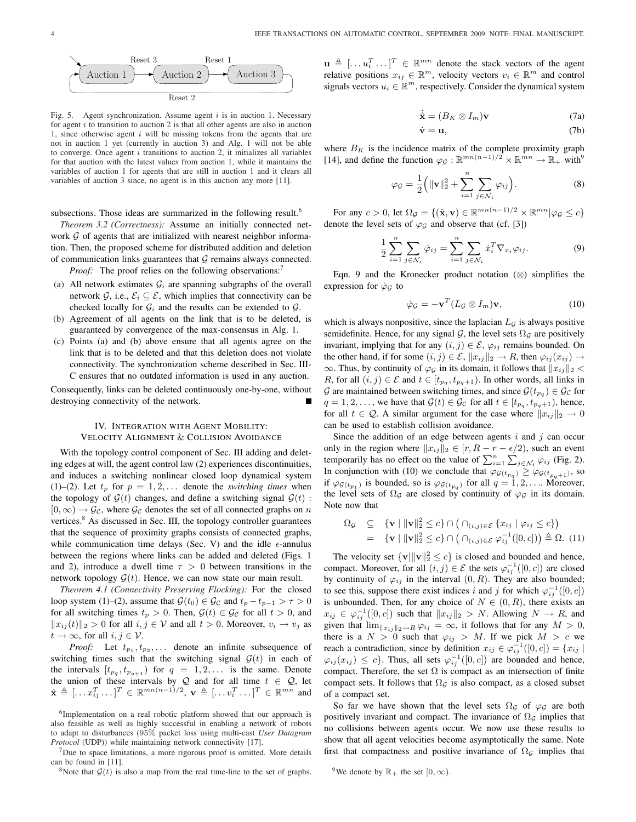

Fig. 5. Agent synchronization. Assume agent  $i$  is in auction 1. Necessary for agent  $i$  to transition to auction 2 is that all other agents are also in auction 1, since otherwise agent  $i$  will be missing tokens from the agents that are not in auction 1 yet (currently in auction 3) and Alg. 1 will not be able to converge. Once agent  $i$  transitions to auction 2, it initializes all variables for that auction with the latest values from auction 1, while it maintains the variables of auction 1 for agents that are still in auction 1 and it clears all variables of auction 3 since, no agent is in this auction any more [11].

subsections. Those ideas are summarized in the following result.<sup>6</sup>

*Theorem 3.2 (Correctness):* Assume an initially connected network  $G$  of agents that are initialized with nearest neighbor information. Then, the proposed scheme for distributed addition and deletion of communication links guarantees that  $G$  remains always connected.

*Proof:* The proof relies on the following observations:<sup>7</sup>

- (a) All network estimates  $\mathcal{G}_i$  are spanning subgraphs of the overall network G, i.e.,  $\mathcal{E}_i \subseteq \mathcal{E}$ , which implies that connectivity can be checked locally for  $\mathcal{G}_i$  and the results can be extended to  $\mathcal{G}_i$ .
- (b) Agreement of all agents on the link that is to be deleted, is guaranteed by convergence of the max-consensus in Alg. 1.
- (c) Points (a) and (b) above ensure that all agents agree on the link that is to be deleted and that this deletion does not violate connectivity. The synchronization scheme described in Sec. III-C ensures that no outdated information is used in any auction.

Consequently, links can be deleted continuously one-by-one, without destroying connectivity of the network.

# IV. INTEGRATION WITH AGENT MOBILITY: VELOCITY ALIGNMENT & COLLISION AVOIDANCE

With the topology control component of Sec. III adding and deleting edges at will, the agent control law (2) experiences discontinuities, and induces a switching nonlinear closed loop dynamical system (1)–(2). Let  $t_p$  for  $p = 1, 2, \ldots$  denote the *switching times* when the topology of  $\mathcal{G}(t)$  changes, and define a switching signal  $\mathcal{G}(t)$ :  $[0, \infty) \rightarrow \mathcal{G}_{\mathcal{C}}$ , where  $\mathcal{G}_{\mathcal{C}}$  denotes the set of all connected graphs on n vertices.<sup>8</sup> As discussed in Sec. III, the topology controller guarantees that the sequence of proximity graphs consists of connected graphs, while communication time delays (Sec. V) and the idle  $\epsilon$ -annulus between the regions where links can be added and deleted (Figs. 1 and 2), introduce a dwell time  $\tau > 0$  between transitions in the network topology  $G(t)$ . Hence, we can now state our main result.

*Theorem 4.1 (Connectivity Preserving Flocking):* For the closed loop system (1)–(2), assume that  $G(t_0) \in \mathcal{G}_{\mathcal{C}}$  and  $t_p - t_{p-1} > \tau > 0$ for all switching times  $t_p > 0$ . Then,  $\mathcal{G}(t) \in \mathcal{G}_c$  for all  $t > 0$ , and  $||x_{ij}(t)||_2 > 0$  for all  $i, j \in V$  and all  $t > 0$ . Moreover,  $v_i \to v_j$  as  $t \to \infty$ , for all  $i, j \in \mathcal{V}$ .

*Proof:* Let  $t_{p_1}, t_{p_2}, \ldots$  denote an infinite subsequence of switching times such that the switching signal  $\mathcal{G}(t)$  in each of the intervals  $[t_{pq}, t_{pq+1}]$  for  $q = 1, 2, \ldots$  is the same. Denote the union of these intervals by Q and for all time  $t \in Q$ , let  $\hat{\mathbf{x}} \triangleq [...x_{ij}^T...]^T \in \mathbb{R}^{mn(n-1)/2}, \, \mathbf{v} \triangleq [...v_i^T...]^T \in \mathbb{R}^{mn}$  and

 $<sup>7</sup>$ Due to space limitations, a more rigorous proof is omitted. More details</sup> can be found in [11].

<sup>8</sup>Note that  $\mathcal{G}(t)$  is also a map from the real time-line to the set of graphs.

 $\mathbf{u} \triangleq [\dots u_i^T \dots]^T \in \mathbb{R}^{mn}$  denote the stack vectors of the agent relative positions  $x_{ij} \in \mathbb{R}^m$ , velocity vectors  $v_i \in \mathbb{R}^m$  and control signals vectors  $u_i \in \mathbb{R}^m$ , respectively. Consider the dynamical system

$$
\dot{\hat{\mathbf{x}}} = (B_K \otimes I_m)\mathbf{v} \tag{7a}
$$

$$
\dot{\mathbf{v}} = \mathbf{u},\tag{7b}
$$

where  $B_K$  is the incidence matrix of the complete proximity graph [14], and define the function  $\varphi_{\mathcal{G}} : \mathbb{R}^{mn(n-1)/2} \times \mathbb{R}^{mn} \to \mathbb{R}_+$  with<sup>9</sup>

$$
\varphi_{\mathcal{G}} = \frac{1}{2} \Big( \|\mathbf{v}\|_2^2 + \sum_{i=1}^n \sum_{j \in \mathcal{N}_i} \varphi_{ij} \Big). \tag{8}
$$

For any  $c > 0$ , let  $\Omega_{\mathcal{G}} = \{ (\hat{\mathbf{x}}, \mathbf{v}) \in \mathbb{R}^{mn(n-1)/2} \times \mathbb{R}^{mn} | \varphi_{\mathcal{G}} \le c \}$ denote the level sets of  $\varphi_G$  and observe that (cf. [3])

$$
\frac{1}{2} \sum_{i=1}^{n} \sum_{j \in \mathcal{N}_i} \dot{\varphi}_{ij} = \sum_{i=1}^{n} \sum_{j \in \mathcal{N}_i} \dot{x}_i^T \nabla_{x_i} \varphi_{ij}.
$$
 (9)

Eqn. 9 and the Kronecker product notation (⊗) simplifies the expression for  $\dot{\varphi}_\mathcal{G}$  to

$$
\dot{\varphi}_{\mathcal{G}} = -\mathbf{v}^T (L_{\mathcal{G}} \otimes I_m) \mathbf{v},\tag{10}
$$

which is always nonpositive, since the laplacian  $L<sub>G</sub>$  is always positive semidefinite. Hence, for any signal  $G$ , the level sets  $\Omega_G$  are positively invariant, implying that for any  $(i, j) \in \mathcal{E}$ ,  $\varphi_{ij}$  remains bounded. On the other hand, if for some  $(i, j) \in \mathcal{E}$ ,  $||x_{ij}||_2 \to R$ , then  $\varphi_{ij}(x_{ij}) \to$  $\infty$ . Thus, by continuity of  $\varphi_{\mathcal{G}}$  in its domain, it follows that  $||x_{ij}||_2 < \infty$ R, for all  $(i, j) \in \mathcal{E}$  and  $t \in [t_{pq}, t_{pq+1})$ . In other words, all links in G are maintained between switching times, and since  $\mathcal{G}(t_{p_q}) \in \mathcal{G}_{\mathcal{C}}$  for  $q = 1, 2, \dots$ , we have that  $\mathcal{G}(t) \in \mathcal{G}_{\mathcal{C}}$  for all  $t \in [t_{p_q}, t_{p_q+1})$ , hence, for all  $t \in \mathcal{Q}$ . A similar argument for the case where  $||x_{ij}||_2 \to 0$ can be used to establish collision avoidance.

Since the addition of an edge between agents  $i$  and  $j$  can occur only in the region where  $||x_{ij}||_2 \in [r, R - r - \epsilon/2)$ , such an event temporarily has no effect on the value of  $\sum_{i=1}^{n} \sum_{j \in \mathcal{N}_i} \varphi_{ij}$  (Fig. 2). In conjunction with (10) we conclude that  $\varphi_{\mathcal{G}(t_{pq})} \geq \varphi_{\mathcal{G}(t_{pq+1})}$ , so if  $\varphi_{\mathcal{G}(t_{p_1})}$  is bounded, so is  $\varphi_{\mathcal{G}(t_{p_q})}$  for all  $q = 1, 2, \dots$  Moreover, the level sets of  $\Omega$ <sub>G</sub> are closed by continuity of  $\varphi$ <sub>G</sub> in its domain. Note now that

$$
\Omega_{\mathcal{G}} \subseteq \{ \mathbf{v} \mid ||\mathbf{v}||_2^2 \le c \} \cap \left( \cap_{(i,j) \in \mathcal{E}} \{ x_{ij} \mid \varphi_{ij} \le c \} \right)
$$
  
= 
$$
\{ \mathbf{v} \mid ||\mathbf{v}||_2^2 \le c \} \cap \left( \cap_{(i,j) \in \mathcal{E}} \varphi_{ij}^{-1}([0,c]) \right) \triangleq \Omega.
$$
 (11)

The velocity set  $\{v \mid ||v||_2^2 \le c\}$  is closed and bounded and hence, compact. Moreover, for all  $(i, j) \in \mathcal{E}$  the sets  $\varphi_{ij}^{-1}([0, c])$  are closed by continuity of  $\varphi_{ij}$  in the interval  $(0, R)$ . They are also bounded; to see this, suppose there exist indices i and j for which  $\varphi_{ij}^{-1}([0, c])$ is unbounded. Then, for any choice of  $N \in (0, R)$ , there exists an  $x_{ij} \in \varphi_{ij}^{-1}([0,c])$  such that  $||x_{ij}||_2 > N$ . Allowing  $N \to R$ , and given that  $\lim_{\|x_{ij}\|_2\to R} \varphi_{ij} = \infty$ , it follows that for any  $M > 0$ , there is a  $N > 0$  such that  $\varphi_{ij} > M$ . If we pick  $M > c$  we reach a contradiction, since by definition  $x_{ij} \in \varphi_{ij}^{-1}([0, c]) = \{x_{ij} \mid$  $\varphi_{ij}(x_{ij}) \leq c$ . Thus, all sets  $\varphi_{ij}^{-1}([0, c])$  are bounded and hence, compact. Therefore, the set  $\Omega$  is compact as an intersection of finite compact sets. It follows that  $\Omega$ <sup>G</sup> is also compact, as a closed subset of a compact set.

So far we have shown that the level sets  $\Omega$ <sup>G</sup> of  $\varphi$ <sup>G</sup> are both positively invariant and compact. The invariance of  $\Omega_{\mathcal{G}}$  implies that no collisions between agents occur. We now use these results to show that all agent velocities become asymptotically the same. Note first that compactness and positive invariance of  $\Omega$ <sub>G</sub> implies that

<sup>9</sup>We denote by  $\mathbb{R}_+$  the set  $[0, \infty)$ .

<sup>&</sup>lt;sup>6</sup>Implementation on a real robotic platform showed that our approach is also feasible as well as highly successful in enabling a network of robots to adapt to disturbances (95% packet loss using multi-cast *User Datagram Protocol* (UDP)) while maintaining network connectivity [17].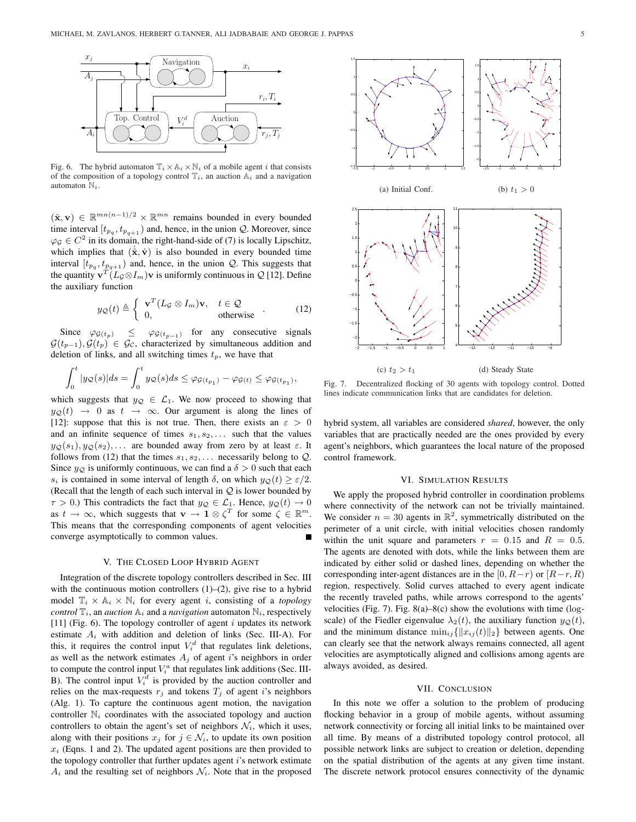

Fig. 6. The hybrid automaton  $\mathbb{T}_i \times \mathbb{A}_i \times \mathbb{N}_i$  of a mobile agent *i* that consists of the composition of a topology control  $\mathbb{T}_i$ , an auction  $\mathbb{A}_i$  and a navigation automaton  $\mathbb{N}_i$ .

 $(\hat{\mathbf{x}}, \mathbf{v}) \in \mathbb{R}^{mn(n-1)/2} \times \mathbb{R}^{mn}$  remains bounded in every bounded time interval  $[t_{p_q}, t_{p_{q+1}})$  and, hence, in the union  $Q$ . Moreover, since  $\varphi_{\mathcal{G}} \in C^2$  in its domain, the right-hand-side of (7) is locally Lipschitz, which implies that  $(\dot{x}, \dot{v})$  is also bounded in every bounded time interval  $[t_{p_q}, t_{p_{q+1}})$  and, hence, in the union  $Q$ . This suggests that the quantity  $\mathbf{v}^T (L_{\mathcal{G}} \otimes I_m) \mathbf{v}$  is uniformly continuous in  $\mathcal{Q}$  [12]. Define the auxiliary function

$$
y_{\mathcal{Q}}(t) \triangleq \begin{cases} \mathbf{v}^T (L_{\mathcal{G}} \otimes I_m) \mathbf{v}, & t \in \mathcal{Q} \\ 0, & \text{otherwise} \end{cases}
$$
 (12)

Since  $\varphi_{\mathcal{G}(t_p)} \leq \varphi_{\mathcal{G}(t_{p-1})}$  for any consecutive signals  $\mathcal{G}(t_{p-1}), \mathcal{G}(t_p) \in \mathcal{G}_{\mathcal{C}}$ , characterized by simultaneous addition and deletion of links, and all switching times  $t_p$ , we have that

$$
\int_0^t |y_Q(s)|ds = \int_0^t y_Q(s)ds \leq \varphi_{\mathcal{G}(t_{p_1})} - \varphi_{\mathcal{G}(t)} \leq \varphi_{\mathcal{G}(t_{p_1})},
$$

which suggests that  $y_{\mathcal{Q}} \in \mathcal{L}_1$ . We now proceed to showing that  $y_{\mathcal{Q}}(t) \rightarrow 0$  as  $t \rightarrow \infty$ . Our argument is along the lines of [12]: suppose that this is not true. Then, there exists an  $\varepsilon > 0$ and an infinite sequence of times  $s_1, s_2, \ldots$  such that the values  $y_{\mathcal{Q}}(s_1), y_{\mathcal{Q}}(s_2), \ldots$  are bounded away from zero by at least  $\varepsilon$ . It follows from (12) that the times  $s_1, s_2, \ldots$  necessarily belong to  $Q$ . Since  $y_{\mathcal{Q}}$  is uniformly continuous, we can find a  $\delta > 0$  such that each s<sub>i</sub> is contained in some interval of length  $\delta$ , on which  $y_{\mathcal{Q}}(t) \geq \varepsilon/2$ . (Recall that the length of each such interval in  $Q$  is lower bounded by  $\tau > 0$ .) This contradicts the fact that  $y_{\mathcal{Q}} \in \mathcal{L}_1$ . Hence,  $y_{\mathcal{Q}}(t) \to 0$ as  $t \to \infty$ , which suggests that  $\mathbf{v} \to \mathbf{1} \otimes \zeta^T$  for some  $\zeta \in \mathbb{R}^m$ . This means that the corresponding components of agent velocities converge asymptotically to common values.

## V. THE CLOSED LOOP HYBRID AGENT

Integration of the discrete topology controllers described in Sec. III with the continuous motion controllers  $(1)$ – $(2)$ , give rise to a hybrid model  $\mathbb{T}_i \times \mathbb{A}_i \times \mathbb{N}_i$  for every agent *i*, consisting of a *topology control*  $\mathbb{T}_i$ , an *auction*  $\mathbb{A}_i$  and a *navigation* automaton  $\mathbb{N}_i$ , respectively [11] (Fig. 6). The topology controller of agent  $i$  updates its network estimate  $A_i$  with addition and deletion of links (Sec. III-A). For this, it requires the control input  $V_i^d$  that regulates link deletions, as well as the network estimates  $A_i$  of agent i's neighbors in order to compute the control input  $V_i^a$  that regulates link additions (Sec. III-B). The control input  $V_i^d$  is provided by the auction controller and relies on the max-requests  $r_j$  and tokens  $T_j$  of agent is neighbors (Alg. 1). To capture the continuous agent motion, the navigation controller  $\mathbb{N}_i$  coordinates with the associated topology and auction controllers to obtain the agent's set of neighbors  $\mathcal{N}_i$ , which it uses, along with their positions  $x_j$  for  $j \in \mathcal{N}_i$ , to update its own position  $x_i$  (Eqns. 1 and 2). The updated agent positions are then provided to the topology controller that further updates agent i's network estimate  $A_i$  and the resulting set of neighbors  $\mathcal{N}_i$ . Note that in the proposed



Fig. 7. Decentralized flocking of 30 agents with topology control. Dotted lines indicate communication links that are candidates for deletion.

hybrid system, all variables are considered *shared*, however, the only variables that are practically needed are the ones provided by every agent's neighbors, which guarantees the local nature of the proposed control framework.

## VI. SIMULATION RESULTS

We apply the proposed hybrid controller in coordination problems where connectivity of the network can not be trivially maintained. We consider  $n = 30$  agents in  $\mathbb{R}^2$ , symmetrically distributed on the perimeter of a unit circle, with initial velocities chosen randomly within the unit square and parameters  $r = 0.15$  and  $R = 0.5$ . The agents are denoted with dots, while the links between them are indicated by either solid or dashed lines, depending on whether the corresponding inter-agent distances are in the [0,  $R-r$ ) or  $[R-r, R]$ region, respectively. Solid curves attached to every agent indicate the recently traveled paths, while arrows correspond to the agents' velocities (Fig. 7). Fig.  $8(a) - 8(c)$  show the evolutions with time (logscale) of the Fiedler eigenvalue  $\lambda_2(t)$ , the auxiliary function  $y_{\mathcal{Q}}(t)$ , and the minimum distance  $\min_{ij} {\{|x_{ij}(t)\|_2\}}$  between agents. One can clearly see that the network always remains connected, all agent velocities are asymptotically aligned and collisions among agents are always avoided, as desired.

## VII. CONCLUSION

In this note we offer a solution to the problem of producing flocking behavior in a group of mobile agents, without assuming network connectivity or forcing all initial links to be maintained over all time. By means of a distributed topology control protocol, all possible network links are subject to creation or deletion, depending on the spatial distribution of the agents at any given time instant. The discrete network protocol ensures connectivity of the dynamic